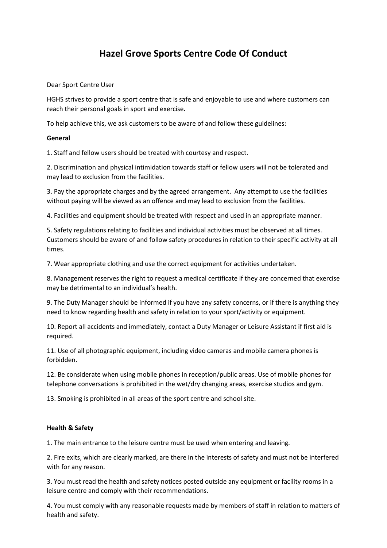# **Hazel Grove Sports Centre Code Of Conduct**

Dear Sport Centre User

HGHS strives to provide a sport centre that is safe and enjoyable to use and where customers can reach their personal goals in sport and exercise.

To help achieve this, we ask customers to be aware of and follow these guidelines:

## **General**

1. Staff and fellow users should be treated with courtesy and respect.

2. Discrimination and physical intimidation towards staff or fellow users will not be tolerated and may lead to exclusion from the facilities.

3. Pay the appropriate charges and by the agreed arrangement. Any attempt to use the facilities without paying will be viewed as an offence and may lead to exclusion from the facilities.

4. Facilities and equipment should be treated with respect and used in an appropriate manner.

5. Safety regulations relating to facilities and individual activities must be observed at all times. Customers should be aware of and follow safety procedures in relation to their specific activity at all times.

7. Wear appropriate clothing and use the correct equipment for activities undertaken.

8. Management reserves the right to request a medical certificate if they are concerned that exercise may be detrimental to an individual's health.

9. The Duty Manager should be informed if you have any safety concerns, or if there is anything they need to know regarding health and safety in relation to your sport/activity or equipment.

10. Report all accidents and immediately, contact a Duty Manager or Leisure Assistant if first aid is required.

11. Use of all photographic equipment, including video cameras and mobile camera phones is forbidden.

12. Be considerate when using mobile phones in reception/public areas. Use of mobile phones for telephone conversations is prohibited in the wet/dry changing areas, exercise studios and gym.

13. Smoking is prohibited in all areas of the sport centre and school site.

### **Health & Safety**

1. The main entrance to the leisure centre must be used when entering and leaving.

2. Fire exits, which are clearly marked, are there in the interests of safety and must not be interfered with for any reason.

3. You must read the health and safety notices posted outside any equipment or facility rooms in a leisure centre and comply with their recommendations.

4. You must comply with any reasonable requests made by members of staff in relation to matters of health and safety.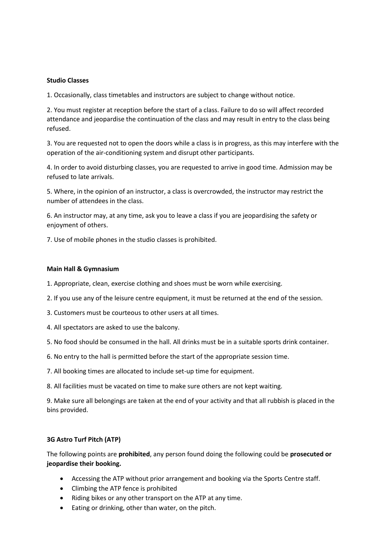### **Studio Classes**

1. Occasionally, class timetables and instructors are subject to change without notice.

2. You must register at reception before the start of a class. Failure to do so will affect recorded attendance and jeopardise the continuation of the class and may result in entry to the class being refused.

3. You are requested not to open the doors while a class is in progress, as this may interfere with the operation of the air-conditioning system and disrupt other participants.

4. In order to avoid disturbing classes, you are requested to arrive in good time. Admission may be refused to late arrivals.

5. Where, in the opinion of an instructor, a class is overcrowded, the instructor may restrict the number of attendees in the class.

6. An instructor may, at any time, ask you to leave a class if you are jeopardising the safety or enjoyment of others.

7. Use of mobile phones in the studio classes is prohibited.

### **Main Hall & Gymnasium**

- 1. Appropriate, clean, exercise clothing and shoes must be worn while exercising.
- 2. If you use any of the leisure centre equipment, it must be returned at the end of the session.
- 3. Customers must be courteous to other users at all times.
- 4. All spectators are asked to use the balcony.
- 5. No food should be consumed in the hall. All drinks must be in a suitable sports drink container.
- 6. No entry to the hall is permitted before the start of the appropriate session time.
- 7. All booking times are allocated to include set-up time for equipment.
- 8. All facilities must be vacated on time to make sure others are not kept waiting.

9. Make sure all belongings are taken at the end of your activity and that all rubbish is placed in the bins provided.

### **3G Astro Turf Pitch (ATP)**

The following points are **prohibited**, any person found doing the following could be **prosecuted or jeopardise their booking.** 

- Accessing the ATP without prior arrangement and booking via the Sports Centre staff.
- Climbing the ATP fence is prohibited
- Riding bikes or any other transport on the ATP at any time.
- Eating or drinking, other than water, on the pitch.